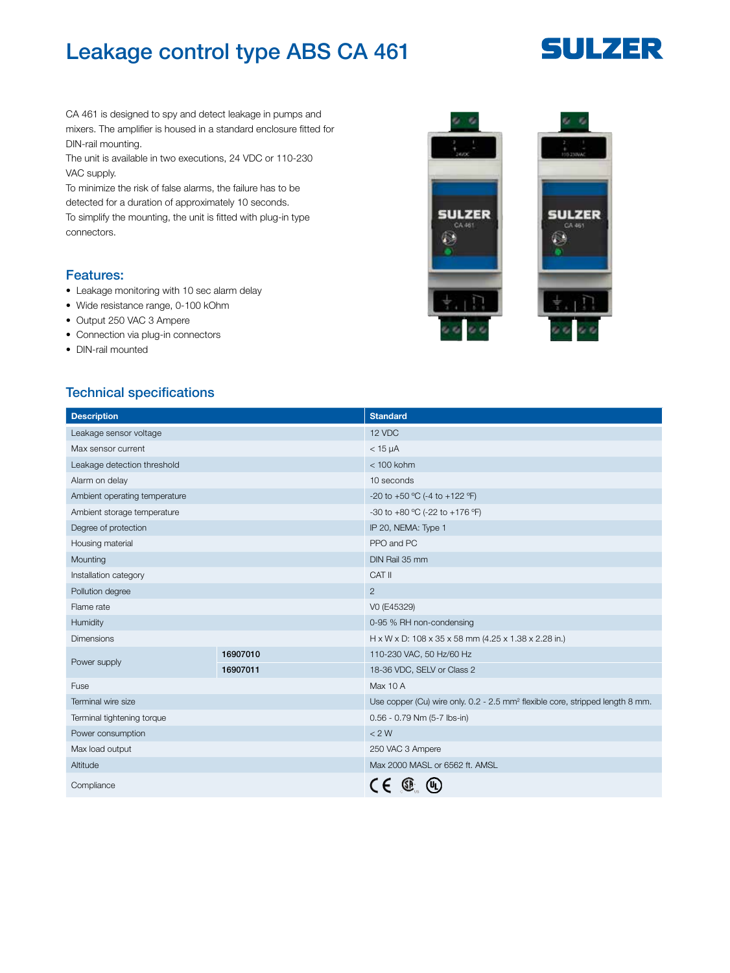## Leakage control type ABS CA 461

# **SULZER**

CA 461 is designed to spy and detect leakage in pumps and mixers. The amplifier is housed in a standard enclosure fitted for DIN-rail mounting.

The unit is available in two executions, 24 VDC or 110-230 VAC supply.

To minimize the risk of false alarms, the failure has to be detected for a duration of approximately 10 seconds. To simplify the mounting, the unit is fitted with plug-in type connectors.

#### Features:

- Leakage monitoring with 10 sec alarm delay
- Wide resistance range, 0-100 kOhm
- Output 250 VAC 3 Ampere
- Connection via plug-in connectors
- DIN-rail mounted

#### Technical specifications

| <b>Description</b>            |          | <b>Standard</b>                                                                           |
|-------------------------------|----------|-------------------------------------------------------------------------------------------|
| Leakage sensor voltage        |          | 12 VDC                                                                                    |
| Max sensor current            |          | $<$ 15 $\mu$ A                                                                            |
| Leakage detection threshold   |          | $<$ 100 kohm                                                                              |
| Alarm on delay                |          | 10 seconds                                                                                |
| Ambient operating temperature |          | -20 to +50 °C (-4 to +122 °F)                                                             |
| Ambient storage temperature   |          | -30 to +80 °C (-22 to +176 °F)                                                            |
| Degree of protection          |          | IP 20, NEMA: Type 1                                                                       |
| Housing material              |          | PPO and PC                                                                                |
| Mounting                      |          | DIN Rail 35 mm                                                                            |
| Installation category         |          | CAT II                                                                                    |
| Pollution degree              |          | $\overline{2}$                                                                            |
| Flame rate                    |          | VO (E45329)                                                                               |
| Humidity                      |          | 0-95 % RH non-condensing                                                                  |
| <b>Dimensions</b>             |          | H x W x D: 108 x 35 x 58 mm (4.25 x 1.38 x 2.28 in.)                                      |
| Power supply                  | 16907010 | 110-230 VAC, 50 Hz/60 Hz                                                                  |
|                               | 16907011 | 18-36 VDC, SELV or Class 2                                                                |
| Fuse                          |          | Max 10 A                                                                                  |
| Terminal wire size            |          | Use copper (Cu) wire only. 0.2 - 2.5 mm <sup>2</sup> flexible core, stripped length 8 mm. |
| Terminal tightening torque    |          | 0.56 - 0.79 Nm (5-7 lbs-in)                                                               |
| Power consumption             |          | < 2 W                                                                                     |
| Max load output               |          | 250 VAC 3 Ampere                                                                          |
| Altitude                      |          | Max 2000 MASL or 6562 ft. AMSL                                                            |
| Compliance                    |          |                                                                                           |